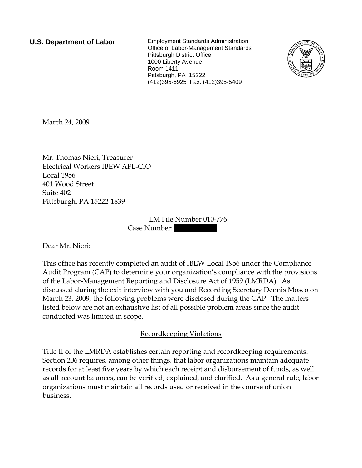**U.S. Department of Labor** Employment Standards Administration Office of Labor-Management Standards Pittsburgh District Office 1000 Liberty Avenue Room 1411 Pittsburgh, PA 15222 (412)395-6925 Fax: (412)395-5409



March 24, 2009

Mr. Thomas Nieri, Treasurer Electrical Workers IBEW AFL-CIO Local 1956 401 Wood Street Suite 402 Pittsburgh, PA 15222-1839

> LM File Number 010-776 Case Number:

Dear Mr. Nieri:

This office has recently completed an audit of IBEW Local 1956 under the Compliance Audit Program (CAP) to determine your organization's compliance with the provisions of the Labor-Management Reporting and Disclosure Act of 1959 (LMRDA). As discussed during the exit interview with you and Recording Secretary Dennis Mosco on March 23, 2009, the following problems were disclosed during the CAP. The matters listed below are not an exhaustive list of all possible problem areas since the audit conducted was limited in scope.

## Recordkeeping Violations

Title II of the LMRDA establishes certain reporting and recordkeeping requirements. Section 206 requires, among other things, that labor organizations maintain adequate records for at least five years by which each receipt and disbursement of funds, as well as all account balances, can be verified, explained, and clarified. As a general rule, labor organizations must maintain all records used or received in the course of union business.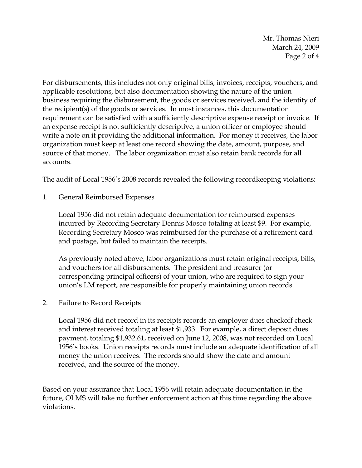Mr. Thomas Nieri March 24, 2009 Page 2 of 4

For disbursements, this includes not only original bills, invoices, receipts, vouchers, and applicable resolutions, but also documentation showing the nature of the union business requiring the disbursement, the goods or services received, and the identity of the recipient(s) of the goods or services. In most instances, this documentation requirement can be satisfied with a sufficiently descriptive expense receipt or invoice. If an expense receipt is not sufficiently descriptive, a union officer or employee should write a note on it providing the additional information. For money it receives, the labor organization must keep at least one record showing the date, amount, purpose, and source of that money. The labor organization must also retain bank records for all accounts.

The audit of Local 1956's 2008 records revealed the following recordkeeping violations:

1. General Reimbursed Expenses

Local 1956 did not retain adequate documentation for reimbursed expenses incurred by Recording Secretary Dennis Mosco totaling at least \$9. For example, Recording Secretary Mosco was reimbursed for the purchase of a retirement card and postage, but failed to maintain the receipts.

As previously noted above, labor organizations must retain original receipts, bills, and vouchers for all disbursements. The president and treasurer (or corresponding principal officers) of your union, who are required to sign your union's LM report, are responsible for properly maintaining union records.

2. Failure to Record Receipts

Local 1956 did not record in its receipts records an employer dues checkoff check and interest received totaling at least \$1,933. For example, a direct deposit dues payment, totaling \$1,932.61, received on June 12, 2008, was not recorded on Local 1956's books. Union receipts records must include an adequate identification of all money the union receives. The records should show the date and amount received, and the source of the money.

Based on your assurance that Local 1956 will retain adequate documentation in the future, OLMS will take no further enforcement action at this time regarding the above violations.